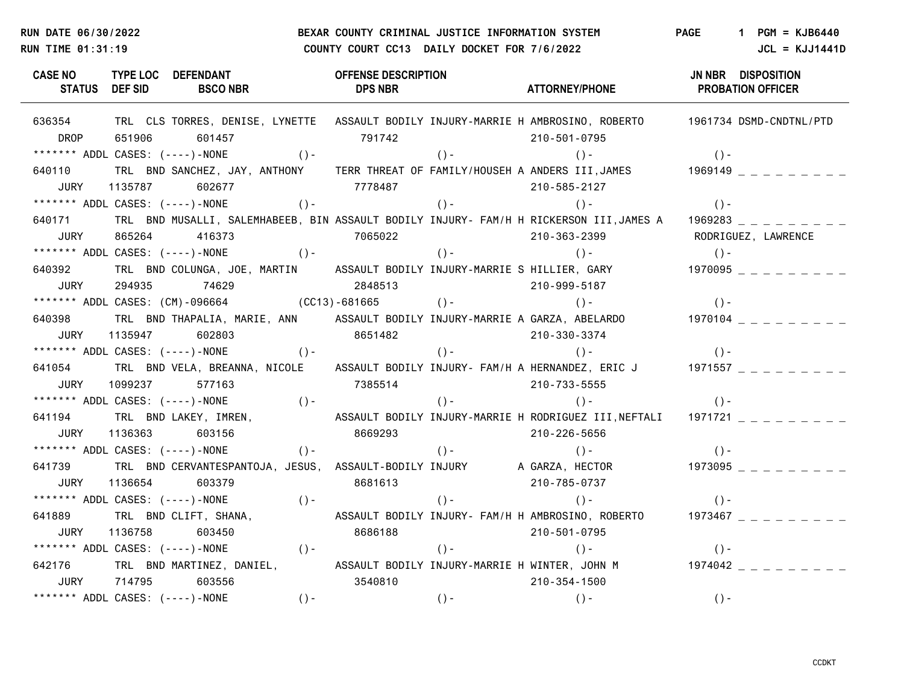# **RUN DATE 06/30/2022 BEXAR COUNTY CRIMINAL JUSTICE INFORMATION SYSTEM PAGE 1 PGM = KJB6440 RUN TIME 01:31:19 COUNTY COURT CC13 DAILY DOCKET FOR 7/6/2022 JCL = KJJ1441D**

| CASE NO TYPE LOC DEFENDANT<br>STATUS DEF SID BSCO NBR DPS NBR                                                               | <b>OFFENSE DESCRIPTION</b> | ATTORNEY/PHONE PROBATION OFFICER | JN NBR DISPOSITION |
|-----------------------------------------------------------------------------------------------------------------------------|----------------------------|----------------------------------|--------------------|
| 636354 TRL CLS TORRES, DENISE, LYNETTE ASSAULT BODILY INJURY-MARRIE H AMBROSINO, ROBERTO 1961734 DSMD-CNDTNL/PTD            |                            |                                  |                    |
| DROP<br>651906 601457                                                                                                       | 791742 210-501-0795        |                                  |                    |
|                                                                                                                             |                            |                                  |                    |
| 640110 TRL BND SANCHEZ, JAY, ANTHONY TERR THREAT OF FAMILY/HOUSEH A ANDERS III,JAMES $\begin{array}{c} 111, 14 \end{array}$ |                            |                                  |                    |
| 1135787 602677 7778487 798487 210-585-2127<br><b>JURY</b>                                                                   |                            |                                  |                    |
|                                                                                                                             |                            |                                  |                    |
| 640171<br>TRL BND MUSALLI, SALEMHABEEB, BIN ASSAULT BODILY INJURY- FAM/H H RICKERSON III,JAMES A 1969283 _ _ _ _ _ _ _ _    |                            |                                  |                    |
| 865264 416373 7065022 7065022 210-363-2399 RODRIGUEZ, LAWRENCE<br><b>JURY</b>                                               |                            |                                  |                    |
| ******* ADDL CASES: (----)-NONE ()-                                                                                         | $( ) -$                    |                                  | $( ) -$            |
| 640392 TRL BND COLUNGA, JOE, MARTIN ASSAULT BODILY INJURY-MARRIE S HILLIER, GARY 1970095 _ _ _ _ _ _ _                      |                            |                                  |                    |
| 294935 74629 2848513 2010 2949513<br><b>JURY</b>                                                                            |                            |                                  |                    |
| ******* ADDL CASES: (CM)-096664 (CC13)-681665 ()- ()- ()- ()- ()-                                                           |                            |                                  |                    |
| 640398 TRL BND THAPALIA, MARIE, ANN ASSAULT BODILY INJURY-MARRIE A GARZA, ABELARDO 1970104 _ _ _ _ _ _ _ _                  |                            |                                  |                    |
| JURY<br>1135947 602803 8651482 210-330-3374                                                                                 |                            |                                  |                    |
|                                                                                                                             |                            |                                  |                    |
| 641054 TRL BND VELA, BREANNA, NICOLE ASSAULT BODILY INJURY- FAM/H A HERNANDEZ, ERIC J 1971557 _ _ _ _ _ _ _                 |                            |                                  |                    |
| 1099237 577163 7385514 7985514 210-733-5555<br>JURY                                                                         |                            |                                  |                    |
|                                                                                                                             |                            |                                  |                    |
| 641194 TRL BND LAKEY, IMREN, ASSAULT BODILY INJURY-MARRIE H RODRIGUEZ III,NEFTALI 1971721 _ _ _ _ _ _ _                     |                            |                                  |                    |
| JURY  1136363  603156                                                                                                       | 8669293 210-226-5656       |                                  |                    |
|                                                                                                                             |                            |                                  | $( ) -$            |
| 641739 TRL BND CERVANTESPANTOJA, JESUS, ASSAULT-BODILY INJURY A GARZA, HECTOR 1973095 _ _ _ _ _ _ _                         |                            |                                  |                    |
| 1136654 603379 8681613<br>JURY                                                                                              |                            | 210-785-0737                     |                    |
| ******* ADDL CASES: (----)-NONE ()- ()- ()- ()-                                                                             |                            |                                  | $( ) -$            |
| 641889 TRL BND CLIFT, SHANA, ASSAULT BODILY INJURY- FAM/H H AMBROSINO, ROBERTO 1973467 _ _ _ _ _ _ _                        |                            |                                  |                    |
| 1136758 603450 8686188 210-501-0795<br>JURY                                                                                 |                            |                                  |                    |
| ******* ADDL CASES: (----)-NONE ()- ()- ()- ()-                                                                             |                            |                                  | $() -$             |
| 642176 TRL BND MARTINEZ, DANIEL, ASSAULT BODILY INJURY-MARRIE H WINTER, JOHN M 1974042 _ _ _ _ _ _ _                        |                            |                                  |                    |
| UURY 714795 603556 3540810 36000 210-354-1500                                                                               |                            |                                  |                    |
| ******* ADDL CASES: (----)-NONE ()- ()- ()- ()-                                                                             |                            |                                  | $() -$             |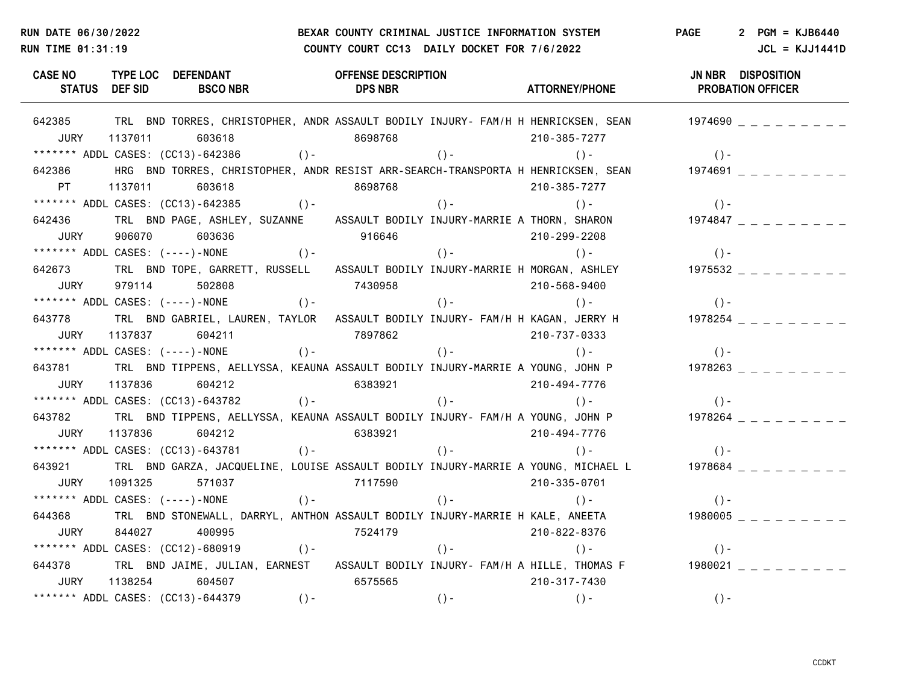## **RUN DATE 06/30/2022 BEXAR COUNTY CRIMINAL JUSTICE INFORMATION SYSTEM PAGE 2 PGM = KJB6440 RUN TIME 01:31:19 COUNTY COURT CC13 DAILY DOCKET FOR 7/6/2022** JCL = KJJ1441D

**CASE NO TYPE LOC DEFENDANT OFFENSE DESCRIPTION JN NBR DISPOSITION STATUS DEF SID BSCO NBR DPS NBR ATTORNEY/PHONE PROBATION OFFICER** 642385 TRL BND TORRES, CHRISTOPHER, ANDR ASSAULT BODILY INJURY- FAM/H H HENRICKSEN, SEAN 1974690 \_ \_ \_ \_ \_ \_ \_ JURY 1137011 603618 8698768 210-385-7277 \*\*\*\*\*\*\* ADDL CASES: (CC13)-642386 ()- ()- ()- ()- 642386 HRG BND TORRES, CHRISTOPHER, ANDR RESIST ARR-SEARCH-TRANSPORTA H HENRICKSEN, SEAN 1974691 \_ \_ \_ \_ \_ \_ \_ PT 1137011 603618 8698768 210-385-7277 \*\*\*\*\*\*\* ADDL CASES: (CC13)-642385 ()- ()- ()- ()- ()- ()- ()-642436 TRL BND PAGE, ASHLEY, SUZANNE ASSAULT BODILY INJURY-MARRIE A THORN, SHARON 1974847 JURY 906070 603636 916646 210-299-2208 \*\*\*\*\*\*\* ADDL CASES: (----)-NONE ()- ()- ()- ()- 642673 TRL BND TOPE, GARRETT, RUSSELL ASSAULT BODILY INJURY-MARRIE H MORGAN, ASHLEY 1975532 \_ \_ \_ \_ \_ \_ \_ \_ \_ JURY 979114 502808 7430958 210-568-9400 \*\*\*\*\*\*\* ADDL CASES: (----)-NONE ()- ()- ()- ()- 643778 TRL BND GABRIEL, LAUREN, TAYLOR ASSAULT BODILY INJURY- FAM/H H KAGAN, JERRY H 1978254 \_ \_ \_ \_ \_ \_ \_ JURY 1137837 604211 7897862 210-737-0333 \*\*\*\*\*\*\* ADDL CASES: (----)-NONE ()- ()- ()- ()- 643781 TRL BND TIPPENS, AELLYSSA, KEAUNA ASSAULT BODILY INJURY-MARRIE A YOUNG, JOHN P 1978263 \_ \_ \_ \_ \_ \_ \_ \_ JURY 1137836 604212 6383921 210-494-7776 \*\*\*\*\*\*\* ADDL CASES: (CC13)-643782 ()- ()- ()- ()- 643782 TRL BND TIPPENS, AELLYSSA, KEAUNA ASSAULT BODILY INJURY- FAM/H A YOUNG, JOHN P 1978264 \_ \_ \_ \_ \_ \_ \_ \_ JURY 1137836 604212 6383921 210-494-7776 \*\*\*\*\*\*\* ADDL CASES: (CC13)-643781 ()- ()- ()- ()- 643921 TRL BND GARZA, JACQUELINE, LOUISE ASSAULT BODILY INJURY-MARRIE A YOUNG, MICHAEL L \_ \_ \_ \_ 1978684 JURY 1091325 571037 7117590 210-335-0701 \*\*\*\*\*\*\* ADDL CASES: (----)-NONE ()- ()- ()- ()- 644368 TRL BND STONEWALL, DARRYL, ANTHON ASSAULT BODILY INJURY-MARRIE H KALE, ANEETA  $1980005$   $=$   $=$   $=$   $=$   $=$   $=$   $=$   $=$ JURY 844027 400995 7524179 210-822-8376 \*\*\*\*\*\*\* ADDL CASES: (CC12)-680919 ()- ()- ()- ()- 644378 TRL BND JAIME, JULIAN, EARNEST ASSAULT BODILY INJURY- FAM/H A HILLE, THOMAS F 1980021 \_ \_ \_ \_ \_ \_ \_ JURY 1138254 604507 6575565 210-317-7430 \*\*\*\*\*\*\* ADDL CASES: (CC13)-644379 ()- ()- ()- ()-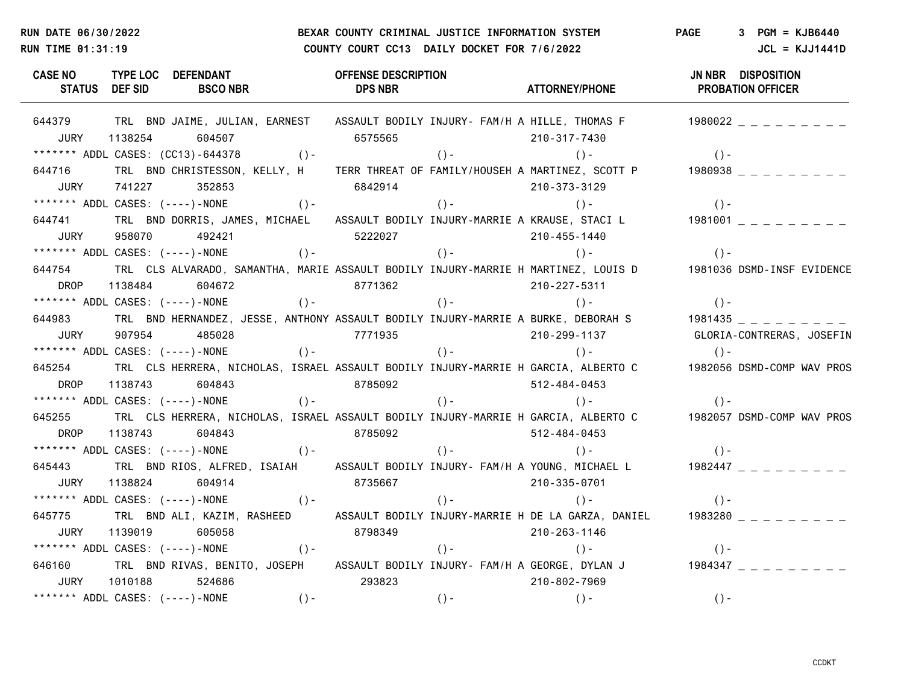## **RUN DATE 06/30/2022 BEXAR COUNTY CRIMINAL JUSTICE INFORMATION SYSTEM PAGE 3 PGM = KJB6440 RUN TIME 01:31:19 COUNTY COURT CC13 DAILY DOCKET FOR 7/6/2022** JCL = KJJ1441D

**CASE NO TYPE LOC DEFENDANT OFFENSE DESCRIPTION JN NBR DISPOSITION STATUS DEF SID BSCO NBR DPS NBR ATTORNEY/PHONE PROBATION OFFICER** 644379 TRL BND JAIME, JULIAN, EARNEST ASSAULT BODILY INJURY- FAM/H A HILLE, THOMAS F 1980022 \_ \_ \_ \_ \_ \_ \_ JURY 1138254 604507 6575565 210-317-7430 \*\*\*\*\*\*\* ADDL CASES: (CC13)-644378 ()- ()- ()- ()- 644716 TRL BND CHRISTESSON, KELLY, H TERR THREAT OF FAMILY/HOUSEH A MARTINEZ, SCOTT P 1980938 \_ \_ \_ \_ \_ \_ JURY 741227 352853 6842914 210-373-3129 \*\*\*\*\*\*\* ADDL CASES: (----)-NONE ()- ()- ()- ()- 644741 TRL BND DORRIS, JAMES, MICHAEL ASSAULT BODILY INJURY-MARRIE A KRAUSE, STACI L 1981001 JURY 958070 492421 5222027 210-455-1440 \*\*\*\*\*\*\* ADDL CASES: (----)-NONE ()- ()- ()- ()- 644754 TRL CLS ALVARADO, SAMANTHA, MARIE ASSAULT BODILY INJURY-MARRIE H MARTINEZ, LOUIS D 1981036 DSMD-INSF EVIDENCE DROP 1138484 604672 8771362 210-227-5311 \*\*\*\*\*\*\* ADDL CASES: (----)-NONE ()- ()- ()- ()- 644983 TRL BND HERNANDEZ, JESSE, ANTHONY ASSAULT BODILY INJURY-MARRIE A BURKE, DEBORAH S 1981435 \_ \_ \_ \_ \_ \_ \_ JURY 907954 485028 7771935 210-299-1137 GLORIA-CONTRERAS, JOSEFIN \*\*\*\*\*\*\* ADDL CASES: (----)-NONE ()- ()- ()- ()- 645254 TRL CLS HERRERA, NICHOLAS, ISRAEL ASSAULT BODILY INJURY-MARRIE H GARCIA, ALBERTO C 1982056 DSMD-COMP WAV PROS DROP 1138743 604843 8785092 512-484-0453 \*\*\*\*\*\*\* ADDL CASES: (----)-NONE ()- ()- ()- ()- 645255 TRL CLS HERRERA, NICHOLAS, ISRAEL ASSAULT BODILY INJURY-MARRIE H GARCIA, ALBERTO C 1982057 DSMD-COMP WAV PROS DROP 1138743 604843 8785092 512-484-0453 \*\*\*\*\*\*\* ADDL CASES: (----)-NONE ()- ()- ()- ()- 645443 TRL BND RIOS, ALFRED, ISAIAH ASSAULT BODILY INJURY- FAM/H A YOUNG, MICHAEL L 1982447 \_ \_ \_ \_ \_ \_ \_ JURY 1138824 604914 8735667 210-335-0701 \*\*\*\*\*\*\* ADDL CASES: (----)-NONE ()- ()- ()- ()- ()- ()-645775 TRL BND ALI, KAZIM, RASHEED ASSAULT BODILY INJURY-MARRIE H DE LA GARZA, DANIEL 1983280 \_ \_ \_ \_ \_ \_ \_ \_ \_ JURY 1139019 605058 8798349 210-263-1146 \*\*\*\*\*\*\* ADDL CASES: (----)-NONE ()- ()- ()- ()- 646160 TRL BND RIVAS, BENITO, JOSEPH ASSAULT BODILY INJURY- FAM/H A GEORGE, DYLAN J  $\begin{array}{c} 1984347 \end{array}$ JURY 1010188 524686 293823 210-802-7969 \*\*\*\*\*\*\* ADDL CASES: (----)-NONE ()- ()- ()- ()-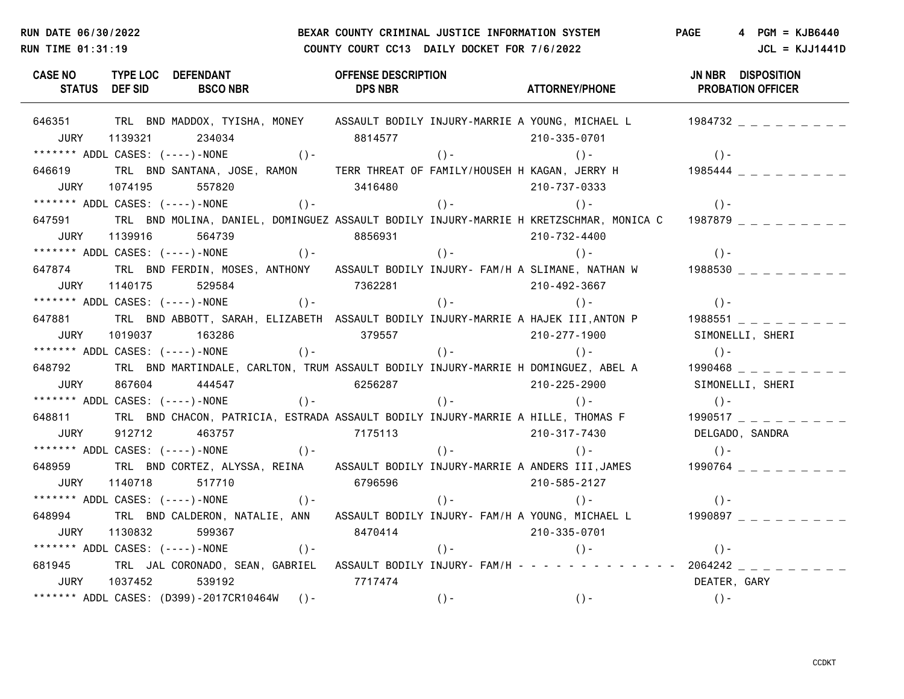## **RUN DATE 06/30/2022 BEXAR COUNTY CRIMINAL JUSTICE INFORMATION SYSTEM PAGE 4 PGM = KJB6440 RUN TIME 01:31:19 COUNTY COURT CC13 DAILY DOCKET FOR 7/6/2022** JCL = KJJ1441D

**CASE NO TYPE LOC DEFENDANT OFFENSE DESCRIPTION JN NBR DISPOSITION STATUS DEF SID BSCO NBR DPS NBR ATTORNEY/PHONE PROBATION OFFICER** 646351 TRL BND MADDOX, TYISHA, MONEY ASSAULT BODILY INJURY-MARRIE A YOUNG, MICHAEL L 1984732 \_ \_ \_ \_ \_ \_ \_ JURY 1139321 234034 8814577 210-335-0701 \*\*\*\*\*\*\* ADDL CASES: (----)-NONE ()- ()- ()- ()- 646619 TRL BND SANTANA, JOSE, RAMON TERR THREAT OF FAMILY/HOUSEH H KAGAN, JERRY H 1985444 \_ \_ \_ \_ \_ \_ \_ \_ JURY 1074195 557820 3416480 210-737-0333 \*\*\*\*\*\*\* ADDL CASES: (----)-NONE ()- ()- ()- ()- ()- ()-647591 TRL BND MOLINA, DANIEL, DOMINGUEZ ASSAULT BODILY INJURY-MARRIE H KRETZSCHMAR, MONICA C 1987879 JURY 1139916 564739 8856931 210-732-4400 \*\*\*\*\*\*\* ADDL CASES: (----)-NONE ()- ()- ()- ()- 647874 TRL BND FERDIN, MOSES, ANTHONY ASSAULT BODILY INJURY- FAM/H A SLIMANE, NATHAN W 1988530 \_ \_ \_ \_ \_ \_ \_ \_ \_ JURY 1140175 529584 7362281 210-492-3667 \*\*\*\*\*\*\* ADDL CASES: (----)-NONE ()- ()- ()- ()- 647881 TRL BND ABBOTT, SARAH, ELIZABETH ASSAULT BODILY INJURY-MARRIE A HAJEK III,ANTON P  $\qquad 1988551$   $\qquad$   $\qquad$   $\qquad$   $\qquad$   $\qquad$   $\qquad$   $\qquad$   $\qquad$   $\qquad$   $\qquad$   $\qquad$   $\qquad$   $\qquad$   $\qquad$   $\qquad$   $\qquad$   $\qquad$   $\qquad$   $\qquad$   $\qquad$ JURY 1019037 163286 379557 210-277-1900 SIMONELLI, SHERI \*\*\*\*\*\*\* ADDL CASES: (----)-NONE ()- ()- ()- ()- ()- ()-648792 TRL BND MARTINDALE, CARLTON, TRUM ASSAULT BODILY INJURY-MARRIE H DOMINGUEZ, ABEL A 1990468 \_ \_ \_ \_ \_ \_ \_ \_ \_ JURY 867604 444547 6256287 210-225-2900 SIMONELLI, SHERI \*\*\*\*\*\*\* ADDL CASES: (----)-NONE ()- ()- ()- ()- 648811 TRL BND CHACON, PATRICIA, ESTRADA ASSAULT BODILY INJURY-MARRIE A HILLE, THOMAS F  $\qquad 1990517$   $\qquad \qquad =$   $\qquad$   $\qquad$   $\qquad$   $\qquad$   $\qquad$   $\qquad$ JURY 912712 463757 7175113 210-317-7430 DELGADO, SANDRA \*\*\*\*\*\*\* ADDL CASES: (----)-NONE ()- ()- ()- ()- 648959 TRL BND CORTEZ, ALYSSA, REINA ASSAULT BODILY INJURY-MARRIE A ANDERS III,JAMES 1990764 \_ \_ \_ \_ \_ \_ \_ JURY 1140718 517710 6796596 210-585-2127 \*\*\*\*\*\*\* ADDL CASES: (----)-NONE ()- ()- ()- ()- 648994 TRL BND CALDERON, NATALIE, ANN ASSAULT BODILY INJURY- FAM/H A YOUNG, MICHAEL L  $\qquad 1990897$  \_ \_ \_ \_ \_ \_ \_ \_ JURY 1130832 599367 8470414 210-335-0701 \*\*\*\*\*\*\* ADDL CASES: (----)-NONE ()- ()- ()- ()- 681945 TRL JAL CORONADO, SEAN, GABRIEL ASSAULT BODILY INJURY-FAM/H - - - - - - - - - - - - 2064242 \_ \_ \_ \_ \_ \_ \_ \_ JURY 1037452 539192 7717474 DEATER, GARY \*\*\*\*\*\*\* ADDL CASES: (D399)-2017CR10464W ()- ()- ()- ()-